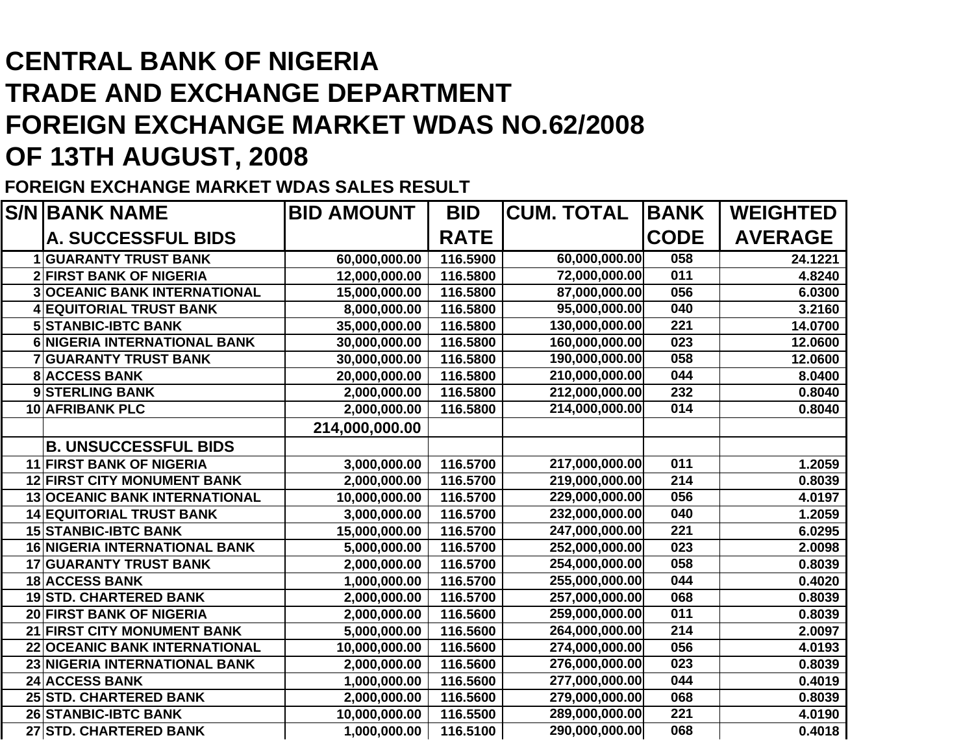## **CENTRAL BANK OF NIGERIATRADE AND EXCHANGE DEPARTMENT FOREIGN EXCHANGE MARKET WDAS NO.62/2008OF 13TH AUGUST, 2008**

## **FOREIGN EXCHANGE MARKET WDAS SALES RESULT**

| <b>S/N BANK NAME</b>                 | <b>BID AMOUNT</b> | <b>BID</b>  | <b>CUM. TOTAL</b> | <b>BANK</b> | <b>WEIGHTED</b> |
|--------------------------------------|-------------------|-------------|-------------------|-------------|-----------------|
| A. SUCCESSFUL BIDS                   |                   | <b>RATE</b> |                   | <b>CODE</b> | <b>AVERAGE</b>  |
| <b>GUARANTY TRUST BANK</b>           | 60,000,000.00     | 116.5900    | 60,000,000.00     | 058         | 24.1221         |
| <b>2 FIRST BANK OF NIGERIA</b>       | 12,000,000.00     | 116.5800    | 72,000,000.00     | 011         | 4.8240          |
| <b>3 OCEANIC BANK INTERNATIONAL</b>  | 15,000,000.00     | 116.5800    | 87,000,000.00     | 056         | 6.0300          |
| <b>EQUITORIAL TRUST BANK</b>         | 8,000,000.00      | 116.5800    | 95,000,000.00     | 040         | 3.2160          |
| <b>5 STANBIC-IBTC BANK</b>           | 35,000,000.00     | 116.5800    | 130,000,000.00    | 221         | 14.0700         |
| 6 NIGERIA INTERNATIONAL BANK         | 30,000,000.00     | 116.5800    | 160,000,000.00    | 023         | 12.0600         |
| <b>GUARANTY TRUST BANK</b>           | 30,000,000.00     | 116.5800    | 190,000,000.00    | 058         | 12.0600         |
| <b>8 ACCESS BANK</b>                 | 20,000,000.00     | 116.5800    | 210,000,000.00    | 044         | 8.0400          |
| 9 STERLING BANK                      | 2,000,000.00      | 116.5800    | 212,000,000.00    | 232         | 0.8040          |
| <b>10 AFRIBANK PLC</b>               | 2,000,000.00      | 116.5800    | 214,000,000.00    | 014         | 0.8040          |
|                                      | 214,000,000.00    |             |                   |             |                 |
| <b>B. UNSUCCESSFUL BIDS</b>          |                   |             |                   |             |                 |
| 11 FIRST BANK OF NIGERIA             | 3,000,000.00      | 116.5700    | 217,000,000.00    | 011         | 1.2059          |
| <b>12 FIRST CITY MONUMENT BANK</b>   | 2,000,000.00      | 116.5700    | 219,000,000.00    | 214         | 0.8039          |
| <b>13 OCEANIC BANK INTERNATIONAL</b> | 10,000,000.00     | 116.5700    | 229,000,000.00    | 056         | 4.0197          |
| <b>14 EQUITORIAL TRUST BANK</b>      | 3,000,000.00      | 116.5700    | 232,000,000.00    | 040         | 1.2059          |
| <b>15 STANBIC-IBTC BANK</b>          | 15,000,000.00     | 116.5700    | 247,000,000.00    | 221         | 6.0295          |
| <b>16 NIGERIA INTERNATIONAL BANK</b> | 5,000,000.00      | 116.5700    | 252,000,000.00    | 023         | 2.0098          |
| <b>17 GUARANTY TRUST BANK</b>        | 2,000,000.00      | 116.5700    | 254,000,000.00    | 058         | 0.8039          |
| <b>18 ACCESS BANK</b>                | 1,000,000.00      | 116.5700    | 255,000,000.00    | 044         | 0.4020          |
| <b>19STD. CHARTERED BANK</b>         | 2,000,000.00      | 116.5700    | 257,000,000.00    | 068         | 0.8039          |
| <b>20 FIRST BANK OF NIGERIA</b>      | 2,000,000.00      | 116.5600    | 259,000,000.00    | 011         | 0.8039          |
| 21 FIRST CITY MONUMENT BANK          | 5,000,000.00      | 116.5600    | 264,000,000.00    | 214         | 2.0097          |
| 22 OCEANIC BANK INTERNATIONAL        | 10,000,000.00     | 116.5600    | 274,000,000.00    | 056         | 4.0193          |
| 23 NIGERIA INTERNATIONAL BANK        | 2,000,000.00      | 116.5600    | 276,000,000.00    | 023         | 0.8039          |
| <b>24 ACCESS BANK</b>                | 1,000,000.00      | 116.5600    | 277,000,000.00    | 044         | 0.4019          |
| 25 STD. CHARTERED BANK               | 2,000,000.00      | 116.5600    | 279,000,000.00    | 068         | 0.8039          |
| <b>26 STANBIC-IBTC BANK</b>          | 10,000,000.00     | 116.5500    | 289,000,000.00    | 221         | 4.0190          |
| 27 STD. CHARTERED BANK               | 1,000,000.00      | 116.5100    | 290,000,000.00    | 068         | 0.4018          |